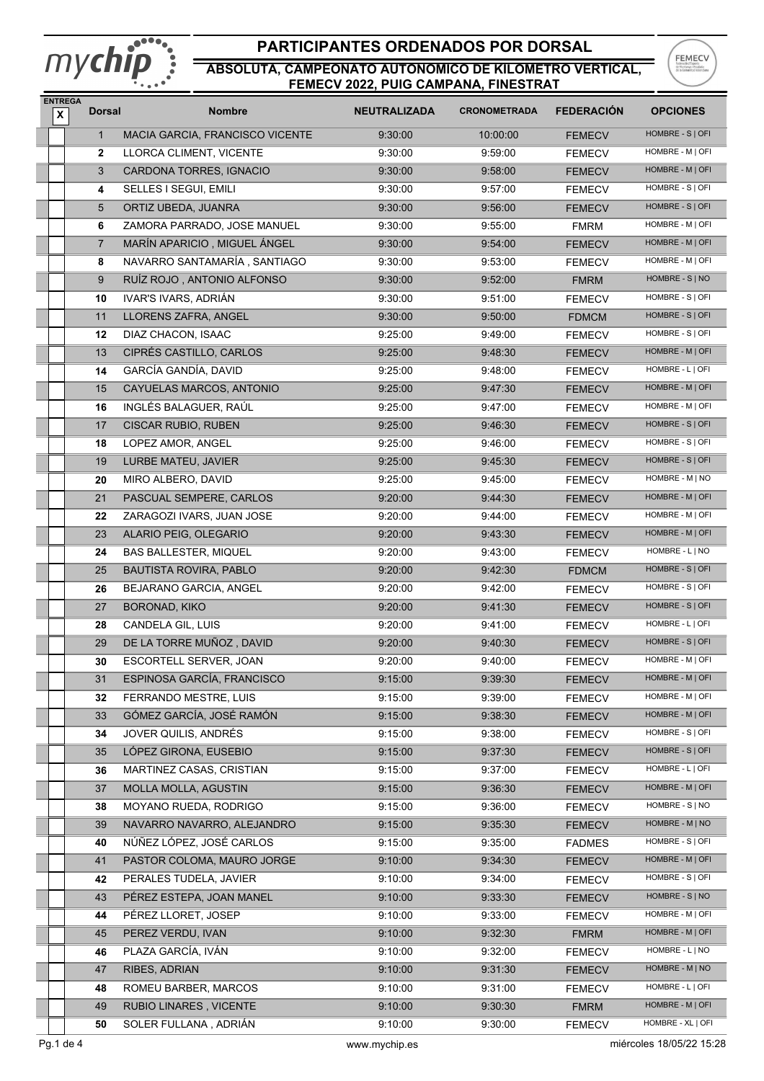# mychip

## **PARTICIPANTES ORDENADOS POR DORSAL**



| <b>ENTREGA</b><br>$\pmb{\mathsf{x}}$ | <b>Dorsal</b>  | <b>Nombre</b>                                  | <b>NEUTRALIZADA</b> | <b>CRONOMETRADA</b> | <b>FEDERACION</b>            | <b>OPCIONES</b>                      |
|--------------------------------------|----------------|------------------------------------------------|---------------------|---------------------|------------------------------|--------------------------------------|
|                                      | $\mathbf{1}$   | MACIA GARCIA, FRANCISCO VICENTE                | 9:30:00             | 10:00:00            | <b>FEMECV</b>                | HOMBRE - S   OFI                     |
|                                      | $\mathbf{2}$   | LLORCA CLIMENT, VICENTE                        | 9:30:00             | 9:59:00             | <b>FEMECV</b>                | HOMBRE - M   OFI                     |
|                                      | 3              | CARDONA TORRES, IGNACIO                        | 9:30:00             | 9:58:00             | <b>FEMECV</b>                | HOMBRE - M   OFI                     |
|                                      | 4              | SELLES I SEGUI, EMILI                          | 9:30:00             | 9:57:00             | <b>FEMECV</b>                | HOMBRE - S   OFI                     |
|                                      | 5              | ORTIZ UBEDA, JUANRA                            | 9:30:00             | 9:56:00             | <b>FEMECV</b>                | HOMBRE - S   OFI                     |
|                                      | 6              | ZAMORA PARRADO, JOSE MANUEL                    | 9:30:00             | 9:55:00             | <b>FMRM</b>                  | HOMBRE - M   OFI                     |
|                                      | $\overline{7}$ | MARÍN APARICIO, MIGUEL ÁNGEL                   | 9:30:00             | 9:54:00             | <b>FEMECV</b>                | HOMBRE - M   OFI                     |
|                                      | 8              | NAVARRO SANTAMARÍA, SANTIAGO                   | 9:30:00             | 9:53:00             | <b>FEMECV</b>                | HOMBRE - M   OFI                     |
|                                      | 9              | RUÍZ ROJO, ANTONIO ALFONSO                     | 9:30:00             | 9:52:00             | <b>FMRM</b>                  | HOMBRE - S   NO                      |
|                                      | 10             | IVAR'S IVARS, ADRIÁN                           | 9:30:00             | 9:51:00             | <b>FEMECV</b>                | HOMBRE - S   OFI                     |
|                                      | 11             | LLORENS ZAFRA, ANGEL                           | 9:30:00             | 9:50:00             | <b>FDMCM</b>                 | HOMBRE - S   OFI                     |
|                                      | 12             | DIAZ CHACON, ISAAC                             | 9:25:00             | 9:49:00             | <b>FEMECV</b>                | HOMBRE - S   OFI                     |
|                                      | 13             | CIPRÉS CASTILLO, CARLOS                        | 9:25:00             | 9:48:30             | <b>FEMECV</b>                | HOMBRE - M   OFI                     |
|                                      | 14             | GARCÍA GANDÍA, DAVID                           | 9:25:00             | 9:48:00             | <b>FEMECV</b>                | HOMBRE - L   OFI                     |
|                                      | 15             | CAYUELAS MARCOS, ANTONIO                       | 9:25:00             | 9:47:30             | <b>FEMECV</b>                | HOMBRE - M   OFI                     |
|                                      | 16             | INGLÉS BALAGUER, RAÚL                          | 9:25:00             | 9:47:00             | <b>FEMECV</b>                | HOMBRE - M   OFI                     |
|                                      | 17             | <b>CISCAR RUBIO, RUBEN</b>                     | 9:25:00             | 9:46:30             | <b>FEMECV</b>                | HOMBRE - S   OFI                     |
|                                      | 18             | LOPEZ AMOR, ANGEL                              | 9:25:00             | 9:46:00             | <b>FEMECV</b>                | HOMBRE - S   OFI                     |
|                                      | 19             | LURBE MATEU, JAVIER                            | 9:25:00             | 9:45:30             | <b>FEMECV</b>                | HOMBRE - S   OFI                     |
|                                      | 20             | MIRO ALBERO, DAVID                             | 9:25:00             | 9:45:00             | <b>FEMECV</b>                | HOMBRE - M   NO                      |
|                                      | 21             | PASCUAL SEMPERE, CARLOS                        | 9:20:00             | 9:44:30             | <b>FEMECV</b>                | HOMBRE - M   OFI                     |
|                                      | 22             | ZARAGOZI IVARS, JUAN JOSE                      | 9:20:00             | 9:44:00             | <b>FEMECV</b>                | HOMBRE - M   OFI                     |
|                                      | 23             | ALARIO PEIG, OLEGARIO                          | 9:20:00             | 9:43:30             | <b>FEMECV</b>                | HOMBRE - M   OFI                     |
|                                      | 24             | <b>BAS BALLESTER, MIQUEL</b>                   | 9:20:00             | 9:43:00             | <b>FEMECV</b>                | HOMBRE - L   NO                      |
|                                      | 25             | <b>BAUTISTA ROVIRA, PABLO</b>                  | 9:20:00             | 9:42:30             | <b>FDMCM</b>                 | HOMBRE - S   OFI                     |
|                                      | 26             | BEJARANO GARCIA, ANGEL                         | 9:20:00             | 9:42:00             | <b>FEMECV</b>                | HOMBRE - S   OFI                     |
|                                      | 27             | <b>BORONAD, KIKO</b>                           | 9:20:00             | 9:41:30             | <b>FEMECV</b>                | HOMBRE - S   OFI                     |
|                                      | 28             | CANDELA GIL, LUIS                              | 9:20:00             | 9:41:00             | <b>FEMECV</b>                | HOMBRE - L   OFI                     |
|                                      | 29             | DE LA TORRE MUÑOZ, DAVID                       | 9:20:00             | 9:40:30             | <b>FEMECV</b>                | HOMBRE - S   OFI                     |
|                                      | 30             | ESCORTELL SERVER, JOAN                         | 9:20:00             | 9:40:00             | <b>FEMECV</b>                | HOMBRE - M   OFI                     |
|                                      | 31             | ESPINOSA GARCÍA, FRANCISCO                     | 9:15:00             | 9:39:30             | <b>FEMECV</b>                | HOMBRE - M   OFI                     |
|                                      | 32             | <b>FERRANDO MESTRE, LUIS</b>                   | 9:15:00             | 9:39:00             | <b>FEMECV</b>                | HOMBRE - M   OFI                     |
|                                      | 33             | GÓMEZ GARCÍA, JOSÉ RAMÓN                       | 9:15:00             | 9:38:30             | <b>FEMECV</b>                | HOMBRE - M   OFI                     |
|                                      | 34             | JOVER QUILIS, ANDRÉS                           | 9:15:00             | 9:38:00             | <b>FEMECV</b>                | HOMBRE - S   OFI                     |
|                                      | 35             | LÓPEZ GIRONA, EUSEBIO                          | 9:15:00             | 9:37:30             | <b>FEMECV</b>                | HOMBRE - S   OFI                     |
|                                      | 36             | MARTINEZ CASAS, CRISTIAN                       | 9:15:00             | 9:37:00             | <b>FEMECV</b>                | HOMBRE - L   OFI                     |
|                                      | 37             | <b>MOLLA MOLLA, AGUSTIN</b>                    | 9:15:00             | 9:36:30             | <b>FEMECV</b>                | HOMBRE - M   OFI                     |
|                                      | 38             | MOYANO RUEDA, RODRIGO                          | 9:15:00             | 9:36:00             | <b>FEMECV</b>                | HOMBRE - S   NO                      |
|                                      | 39             | NAVARRO NAVARRO, ALEJANDRO                     | 9:15:00             | 9:35:30             | <b>FEMECV</b>                | HOMBRE - M   NO                      |
|                                      | 40             | NÚÑEZ LÓPEZ, JOSÉ CARLOS                       | 9:15:00             | 9:35:00             | <b>FADMES</b>                | HOMBRE - S   OFI                     |
|                                      | 41             | PASTOR COLOMA, MAURO JORGE                     | 9:10:00             | 9:34:30             | <b>FEMECV</b>                | HOMBRE - M   OFI                     |
|                                      | 42             | PERALES TUDELA, JAVIER                         | 9:10:00             | 9:34:00             | <b>FEMECV</b>                | HOMBRE - S   OFI                     |
|                                      | 43             | PÉREZ ESTEPA, JOAN MANEL                       | 9:10:00             | 9:33:30             | <b>FEMECV</b>                | HOMBRE - S   NO                      |
|                                      | 44             | PÉREZ LLORET, JOSEP                            | 9:10:00             | 9:33:00             |                              | HOMBRE - M   OFI                     |
|                                      | 45             | PEREZ VERDU, IVAN                              | 9:10:00             | 9:32:30             | FEMECV                       | HOMBRE - M   OFI                     |
|                                      |                |                                                |                     |                     | <b>FMRM</b>                  | HOMBRE - L   NO                      |
|                                      | 46             | PLAZA GARCÍA, IVÁN                             | 9:10:00<br>9:10:00  | 9:32:00<br>9:31:30  | <b>FEMECV</b>                | HOMBRE - M   NO                      |
|                                      |                |                                                |                     |                     | <b>FEMECV</b>                |                                      |
|                                      | 47             | RIBES, ADRIAN                                  |                     |                     |                              |                                      |
|                                      | 48<br>49       | ROMEU BARBER, MARCOS<br>RUBIO LINARES, VICENTE | 9:10:00<br>9:10:00  | 9:31:00<br>9:30:30  | <b>FEMECV</b><br><b>FMRM</b> | HOMBRE - L   OFI<br>HOMBRE - M   OFI |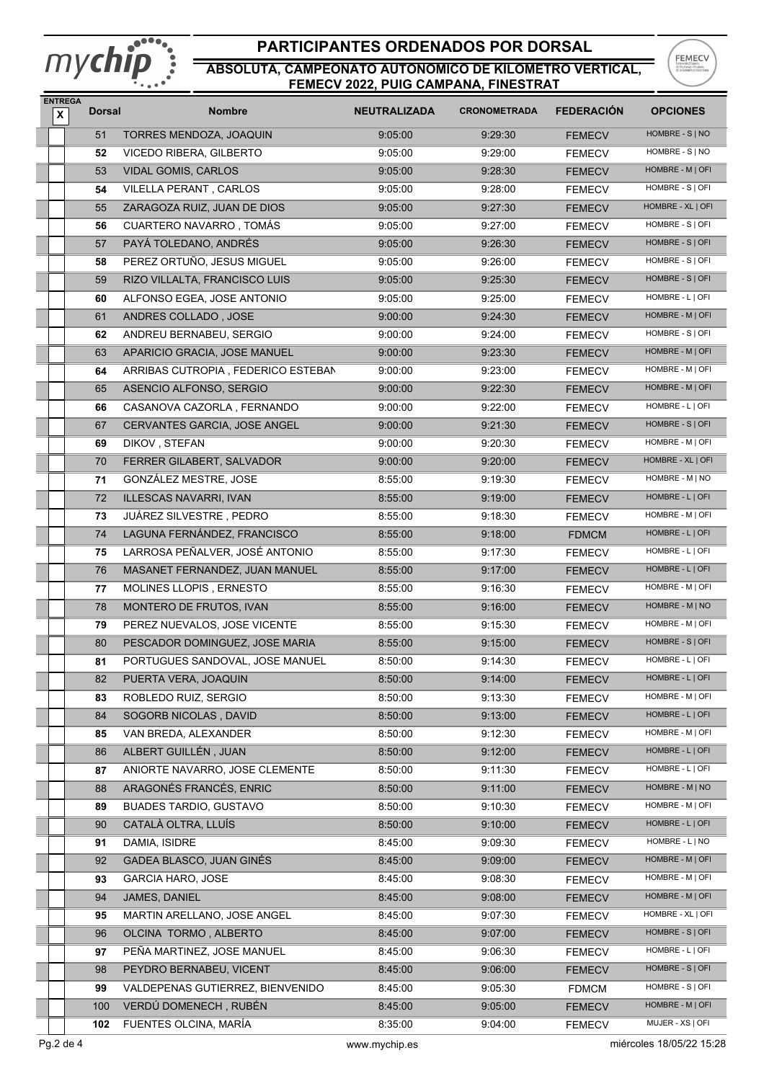# mychip

## **PARTICIPANTES ORDENADOS POR DORSAL**



| <b>ENTREGA</b><br>$\pmb{\mathsf{x}}$ | <b>Dorsal</b> | <b>Nombre</b>                      | <b>NEUTRALIZADA</b> | <b>CRONOMETRADA</b> | <b>FEDERACION</b> | <b>OPCIONES</b>                      |
|--------------------------------------|---------------|------------------------------------|---------------------|---------------------|-------------------|--------------------------------------|
|                                      | 51            | TORRES MENDOZA, JOAQUIN            | 9:05:00             | 9:29:30             | <b>FEMECV</b>     | HOMBRE - S   NO                      |
|                                      | 52            | VICEDO RIBERA, GILBERTO            | 9:05:00             | 9:29:00             | <b>FEMECV</b>     | HOMBRE - S   NO                      |
|                                      | 53            | VIDAL GOMIS, CARLOS                | 9:05:00             | 9:28:30             | <b>FEMECV</b>     | HOMBRE - M   OFI                     |
|                                      | 54            | VILELLA PERANT, CARLOS             | 9:05:00             | 9:28:00             | <b>FEMECV</b>     | HOMBRE - S   OFI                     |
|                                      | 55            | ZARAGOZA RUIZ, JUAN DE DIOS        | 9:05:00             | 9:27:30             | <b>FEMECV</b>     | HOMBRE - XL   OFI                    |
|                                      | 56            | CUARTERO NAVARRO, TOMÁS            | 9:05:00             | 9:27:00             | <b>FEMECV</b>     | HOMBRE - S   OFI                     |
|                                      | 57            | PAYÁ TOLEDANO, ANDRÉS              | 9:05:00             | 9:26:30             | <b>FEMECV</b>     | HOMBRE - S   OFI                     |
|                                      | 58            | PEREZ ORTUÑO, JESUS MIGUEL         | 9:05:00             | 9:26:00             | <b>FEMECV</b>     | HOMBRE - S   OFI                     |
|                                      | 59            | RIZO VILLALTA, FRANCISCO LUIS      | 9:05:00             | 9:25:30             | <b>FEMECV</b>     | HOMBRE - S   OFI                     |
|                                      | 60            | ALFONSO EGEA, JOSE ANTONIO         | 9:05:00             | 9:25:00             | <b>FEMECV</b>     | HOMBRE - L   OFI                     |
|                                      | 61            | ANDRES COLLADO, JOSE               | 9:00:00             | 9:24:30             | <b>FEMECV</b>     | HOMBRE - M   OFI                     |
|                                      | 62            | ANDREU BERNABEU, SERGIO            | 9:00:00             | 9:24:00             | <b>FEMECV</b>     | HOMBRE - S   OFI                     |
|                                      | 63            | APARICIO GRACIA, JOSE MANUEL       | 9:00:00             | 9:23:30             | <b>FEMECV</b>     | HOMBRE - M   OFI                     |
|                                      | 64            | ARRIBAS CUTROPIA, FEDERICO ESTEBAN | 9:00:00             | 9:23:00             | <b>FEMECV</b>     | HOMBRE - M   OFI                     |
|                                      | 65            | ASENCIO ALFONSO, SERGIO            | 9:00:00             | 9:22:30             | <b>FEMECV</b>     | HOMBRE - M   OFI                     |
|                                      | 66            | CASANOVA CAZORLA, FERNANDO         | 9:00:00             | 9:22:00             | <b>FEMECV</b>     | HOMBRE - L   OFI                     |
|                                      | 67            | CERVANTES GARCIA, JOSE ANGEL       | 9:00:00             | 9:21:30             | <b>FEMECV</b>     | HOMBRE - S   OFI                     |
|                                      | 69            | DIKOV, STEFAN                      | 9:00:00             | 9:20:30             | <b>FEMECV</b>     | HOMBRE - M   OFI                     |
|                                      | 70            | FERRER GILABERT, SALVADOR          | 9:00:00             | 9:20:00             | <b>FEMECV</b>     | HOMBRE - XL   OFI                    |
|                                      | 71            | GONZÁLEZ MESTRE, JOSE              | 8:55:00             | 9:19:30             | <b>FEMECV</b>     | HOMBRE - M   NO                      |
|                                      | 72            | ILLESCAS NAVARRI, IVAN             | 8:55:00             | 9:19:00             | <b>FEMECV</b>     | HOMBRE - L   OFI                     |
|                                      | 73            | JUÁREZ SILVESTRE, PEDRO            | 8:55:00             | 9:18:30             | <b>FEMECV</b>     | HOMBRE - M   OFI                     |
|                                      | 74            | LAGUNA FERNÁNDEZ, FRANCISCO        | 8:55:00             | 9:18:00             | <b>FDMCM</b>      | HOMBRE - L   OFI                     |
|                                      | 75            | LARROSA PEÑALVER, JOSÉ ANTONIO     | 8:55:00             | 9:17:30             | <b>FEMECV</b>     | HOMBRE - L   OFI                     |
|                                      | 76            | MASANET FERNANDEZ, JUAN MANUEL     | 8:55:00             | 9:17:00             | <b>FEMECV</b>     | HOMBRE - L   OFI                     |
|                                      | 77            | MOLINES LLOPIS, ERNESTO            | 8:55:00             | 9:16:30             | <b>FEMECV</b>     | HOMBRE - M   OFI                     |
|                                      | 78            | MONTERO DE FRUTOS, IVAN            | 8:55:00             | 9:16:00             | <b>FEMECV</b>     | HOMBRE - M   NO                      |
|                                      | 79            | PEREZ NUEVALOS, JOSE VICENTE       | 8:55:00             | 9:15:30             | <b>FEMECV</b>     | HOMBRE - M   OFI                     |
|                                      | 80            | PESCADOR DOMINGUEZ, JOSE MARIA     | 8:55:00             | 9:15:00             | <b>FEMECV</b>     | HOMBRE - S   OFI                     |
|                                      | 81            | PORTUGUES SANDOVAL, JOSE MANUEL    | 8:50:00             | 9:14:30             | <b>FEMECV</b>     | HOMBRE - L   OFI                     |
|                                      | 82            | PUERTA VERA, JOAQUIN               | 8:50:00             | 9:14:00             |                   | HOMBRE - L   OFI                     |
|                                      |               | ROBLEDO RUIZ, SERGIO               |                     |                     | <b>FEMECV</b>     | HOMBRE - M   OFI                     |
|                                      | 83            |                                    | 8:50:00             | 9:13:30             | <b>FEMECV</b>     | HOMBRE - L   OFI                     |
|                                      | 84            | SOGORB NICOLAS, DAVID              | 8:50:00             | 9:13:00             | <b>FEMECV</b>     | HOMBRE - M   OFI                     |
|                                      | 85            | VAN BREDA, ALEXANDER               | 8:50:00             | 9:12:30             | <b>FEMECV</b>     |                                      |
|                                      | 86            | ALBERT GUILLÉN, JUAN               | 8:50:00             | 9:12:00             | <b>FEMECV</b>     | HOMBRE - L   OFI<br>HOMBRE - L   OFI |
|                                      | 87            | ANIORTE NAVARRO, JOSE CLEMENTE     | 8:50:00             | 9:11:30             | <b>FEMECV</b>     |                                      |
|                                      | 88            | ARAGONÉS FRANCÉS, ENRIC            | 8:50:00             | 9:11:00             | <b>FEMECV</b>     | HOMBRE - M   NO                      |
|                                      | 89            | <b>BUADES TARDIO, GUSTAVO</b>      | 8:50:00             | 9:10:30             | <b>FEMECV</b>     | HOMBRE - M   OFI                     |
|                                      | 90            | CATALÀ OLTRA, LLUÍS                | 8:50:00             | 9:10:00             | <b>FEMECV</b>     | HOMBRE - L   OFI                     |
|                                      | 91            | DAMIA, ISIDRE                      | 8:45:00             | 9:09:30             | <b>FEMECV</b>     | HOMBRE - L   NO                      |
|                                      | 92            | GADEA BLASCO, JUAN GINÉS           | 8:45:00             | 9:09:00             | <b>FEMECV</b>     | HOMBRE - M   OFI                     |
|                                      | 93            | <b>GARCIA HARO, JOSE</b>           | 8:45:00             | 9:08:30             | <b>FEMECV</b>     | HOMBRE - M   OFI                     |
|                                      | 94            | JAMES, DANIEL                      | 8:45:00             | 9:08:00             | <b>FEMECV</b>     | HOMBRE - M   OFI                     |
|                                      | 95            | MARTIN ARELLANO, JOSE ANGEL        | 8:45:00             | 9:07:30             | <b>FEMECV</b>     | HOMBRE - XL   OFI                    |
|                                      | 96            | OLCINA TORMO, ALBERTO              | 8:45:00             | 9:07:00             | <b>FEMECV</b>     | HOMBRE - S   OFI                     |
|                                      | 97            | PEÑA MARTINEZ, JOSE MANUEL         | 8:45:00             | 9:06:30             | <b>FEMECV</b>     | HOMBRE - L   OFI                     |
|                                      | 98            | PEYDRO BERNABEU, VICENT            | 8:45:00             | 9:06:00             | <b>FEMECV</b>     | HOMBRE - S   OFI                     |
|                                      | 99            | VALDEPENAS GUTIERREZ, BIENVENIDO   | 8:45:00             | 9:05:30             | <b>FDMCM</b>      | HOMBRE - S   OFI                     |
|                                      | 100           | VERDÚ DOMENECH, RUBÉN              | 8:45:00             | 9:05:00             | <b>FEMECV</b>     | HOMBRE - M   OFI                     |
|                                      | 102           | FUENTES OLCINA, MARÍA              | 8:35:00             | 9:04:00             | <b>FEMECV</b>     | MUJER - XS   OFI                     |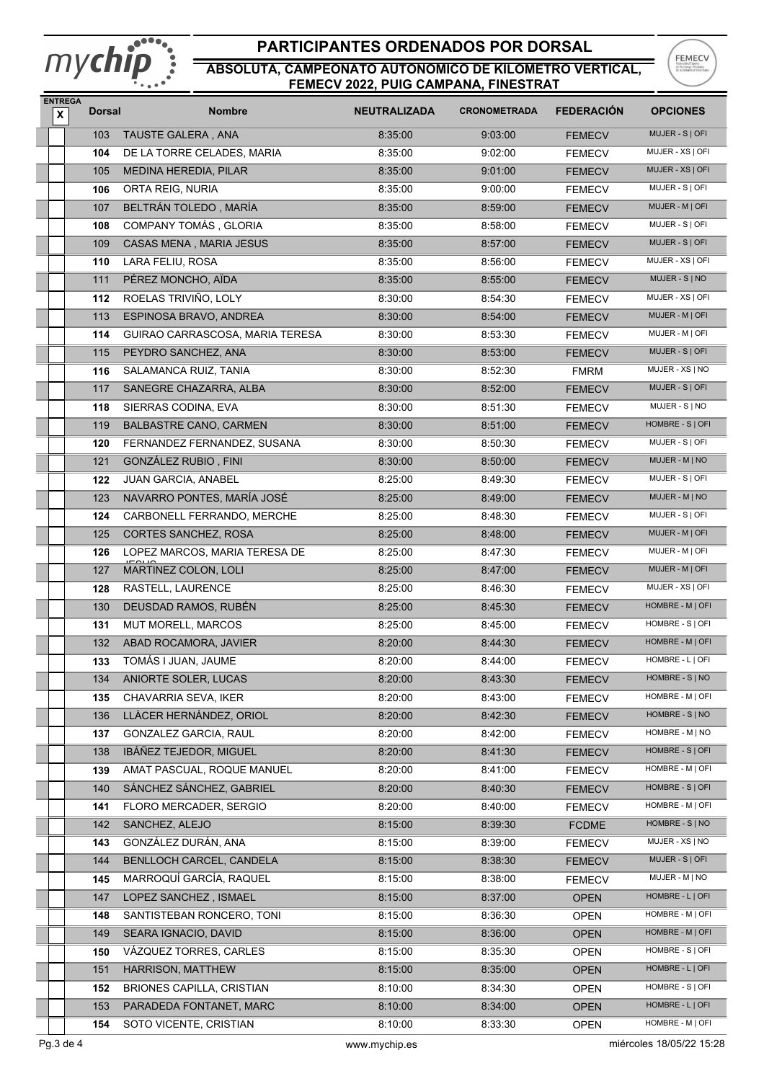

#### **PARTICIPANTES ORDENADOS POR DORSAL**



| <b>ENTREGA</b><br>$\pmb{\mathsf{x}}$ | <b>Dorsal</b> | <b>Nombre</b>                    | <b>NEUTRALIZADA</b> | <b>CRONOMETRADA</b> | <b>FEDERACION</b> | <b>OPCIONES</b>  |
|--------------------------------------|---------------|----------------------------------|---------------------|---------------------|-------------------|------------------|
|                                      | 103           | TAUSTE GALERA, ANA               | 8:35:00             | 9:03:00             | <b>FEMECV</b>     | MUJER - S   OFI  |
|                                      | 104           | DE LA TORRE CELADES, MARIA       | 8:35:00             | 9:02:00             | <b>FEMECV</b>     | MUJER - XS   OFI |
|                                      | 105           | <b>MEDINA HEREDIA, PILAR</b>     | 8:35:00             | 9:01:00             | <b>FEMECV</b>     | MUJER - XS   OFI |
|                                      | 106           | ORTA REIG, NURIA                 | 8:35:00             | 9:00:00             | <b>FEMECV</b>     | MUJER - S   OFI  |
|                                      | 107           | BELTRÁN TOLEDO, MARÍA            | 8:35:00             | 8:59:00             | <b>FEMECV</b>     | MUJER - M   OFI  |
|                                      | 108           | COMPANY TOMÁS, GLORIA            | 8:35:00             | 8:58:00             | <b>FEMECV</b>     | MUJER - S   OFI  |
|                                      | 109           | CASAS MENA, MARIA JESUS          | 8:35:00             | 8:57:00             | <b>FEMECV</b>     | MUJER - S   OFI  |
|                                      | 110           | LARA FELIU, ROSA                 | 8:35:00             | 8:56:00             | <b>FEMECV</b>     | MUJER - XS   OFI |
|                                      | 111           | PÉREZ MONCHO, AÏDA               | 8:35:00             | 8:55:00             | <b>FEMECV</b>     | MUJER - S   NO   |
|                                      | 112           | ROELAS TRIVIÑO, LOLY             | 8:30:00             | 8:54:30             | <b>FEMECV</b>     | MUJER - XS   OFI |
|                                      | 113           | ESPINOSA BRAVO, ANDREA           | 8:30:00             | 8:54:00             | <b>FEMECV</b>     | MUJER - M   OFI  |
|                                      | 114           | GUIRAO CARRASCOSA, MARIA TERESA  | 8:30:00             | 8:53:30             | <b>FEMECV</b>     | MUJER - M   OFI  |
|                                      | 115           | PEYDRO SANCHEZ, ANA              | 8:30:00             | 8:53:00             | <b>FEMECV</b>     | MUJER - S   OFI  |
|                                      | 116           | SALAMANCA RUIZ, TANIA            | 8:30:00             | 8:52:30             | <b>FMRM</b>       | MUJER - XS   NO  |
|                                      | 117           | SANEGRE CHAZARRA, ALBA           | 8:30:00             | 8:52:00             | <b>FEMECV</b>     | MUJER - S   OFI  |
|                                      | 118           | SIERRAS CODINA, EVA              | 8:30:00             | 8:51:30             | <b>FEMECV</b>     | MUJER - S   NO   |
|                                      | 119           | <b>BALBASTRE CANO, CARMEN</b>    | 8:30:00             | 8:51:00             | <b>FEMECV</b>     | HOMBRE - S   OFI |
|                                      | 120           | FERNANDEZ FERNANDEZ, SUSANA      | 8:30:00             | 8:50:30             | <b>FEMECV</b>     | MUJER - S   OFI  |
|                                      | 121           | <b>GONZÁLEZ RUBIO, FINI</b>      | 8:30:00             | 8:50:00             | <b>FEMECV</b>     | MUJER - M   NO   |
|                                      | 122           | JUAN GARCIA, ANABEL              | 8:25:00             | 8:49:30             | <b>FEMECV</b>     | MUJER - S   OFI  |
|                                      | 123           | NAVARRO PONTES, MARÍA JOSÉ       | 8:25:00             | 8:49:00             | <b>FEMECV</b>     | MUJER - M   NO   |
|                                      | 124           | CARBONELL FERRANDO, MERCHE       | 8:25:00             | 8:48:30             | <b>FEMECV</b>     | MUJER - S   OFI  |
|                                      | 125           | CORTES SANCHEZ, ROSA             | 8:25:00             | 8:48:00             | <b>FEMECV</b>     | MUJER - M   OFI  |
|                                      | 126           | LOPEZ MARCOS, MARIA TERESA DE    | 8:25:00             | 8:47:30             | FEMECV            | MUJER - M   OFI  |
|                                      | 127           | MARTINEZ COLON, LOLI             | 8:25:00             | 8:47:00             | <b>FEMECV</b>     | MUJER - M   OFI  |
|                                      | 128           | RASTELL, LAURENCE                | 8:25:00             | 8:46:30             | <b>FEMECV</b>     | MUJER - XS   OFI |
|                                      | 130           | DEUSDAD RAMOS, RUBÉN             |                     |                     |                   | HOMBRE - M   OFI |
|                                      |               | MUT MORELL, MARCOS               | 8:25:00             | 8:45:30             | <b>FEMECV</b>     | HOMBRE - S   OFI |
|                                      | 131           |                                  | 8:25:00             | 8:45:00             | <b>FEMECV</b>     | HOMBRE - M   OFI |
|                                      | 132           | ABAD ROCAMORA, JAVIER            | 8:20:00             | 8:44:30             | <b>FEMECV</b>     | HOMBRE - L   OFI |
|                                      | 133           | TOMÁS I JUAN, JAUME              | 8:20:00             | 8:44:00             | <b>FEMECV</b>     |                  |
|                                      | 134           | ANIORTE SOLER, LUCAS             | 8:20:00             | 8:43:30             | <b>FEMECV</b>     | HOMBRE - S   NO  |
|                                      | 135           | CHAVARRIA SEVA, IKER             | 8:20:00             | 8:43:00             | <b>FEMECV</b>     | HOMBRE - M   OFI |
|                                      | 136           | LLÀCER HERNÁNDEZ, ORIOL          | 8:20:00             | 8:42:30             | <b>FEMECV</b>     | HOMBRE - S   NO  |
|                                      | 137           | GONZALEZ GARCIA, RAUL            | 8:20:00             | 8:42:00             | <b>FEMECV</b>     | HOMBRE - M   NO  |
|                                      | 138           | IBÁÑEZ TEJEDOR, MIGUEL           | 8:20:00             | 8:41:30             | <b>FEMECV</b>     | HOMBRE - S   OFI |
|                                      | 139           | AMAT PASCUAL, ROQUE MANUEL       | 8:20:00             | 8:41:00             | <b>FEMECV</b>     | HOMBRE - M   OFI |
|                                      | 140           | SÁNCHEZ SÁNCHEZ, GABRIEL         | 8:20:00             | 8:40:30             | <b>FEMECV</b>     | HOMBRE - S   OFI |
|                                      | 141           | FLORO MERCADER, SERGIO           | 8:20:00             | 8:40:00             | FEMECV            | HOMBRE - M   OFI |
|                                      | 142           | SANCHEZ, ALEJO                   | 8:15:00             | 8:39:30             | <b>FCDME</b>      | HOMBRE - S   NO  |
|                                      | 143           | GONZÁLEZ DURÁN, ANA              | 8:15:00             | 8:39:00             | <b>FEMECV</b>     | MUJER - XS   NO  |
|                                      | 144           | BENLLOCH CARCEL, CANDELA         | 8:15:00             | 8:38:30             | <b>FEMECV</b>     | MUJER - S   OFI  |
|                                      | 145           | MARROQUÍ GARCÍA, RAQUEL          | 8:15:00             | 8:38:00             | FEMECV            | MUJER - M   NO   |
|                                      | 147           | LOPEZ SANCHEZ, ISMAEL            | 8:15:00             | 8:37:00             | <b>OPEN</b>       | HOMBRE - L   OFI |
|                                      | 148           | SANTISTEBAN RONCERO, TONI        | 8:15:00             | 8:36:30             | <b>OPEN</b>       | HOMBRE - M   OFI |
|                                      | 149           | SEARA IGNACIO, DAVID             | 8:15:00             | 8:36:00             | <b>OPEN</b>       | HOMBRE - M   OFI |
|                                      | 150           | VÁZQUEZ TORRES, CARLES           | 8:15:00             | 8:35:30             | <b>OPEN</b>       | HOMBRE - S   OFI |
|                                      | 151           | HARRISON, MATTHEW                | 8:15:00             | 8:35:00             | <b>OPEN</b>       | HOMBRE - L   OFI |
|                                      | 152           | <b>BRIONES CAPILLA, CRISTIAN</b> | 8:10:00             | 8:34:30             | <b>OPEN</b>       | HOMBRE - S   OFI |
|                                      | 153           | PARADEDA FONTANET, MARC          | 8:10:00             | 8:34:00             | <b>OPEN</b>       | HOMBRE - L   OFI |
|                                      | 154           | SOTO VICENTE, CRISTIAN           | 8:10:00             | 8:33:30             | <b>OPEN</b>       | HOMBRE - M   OFI |